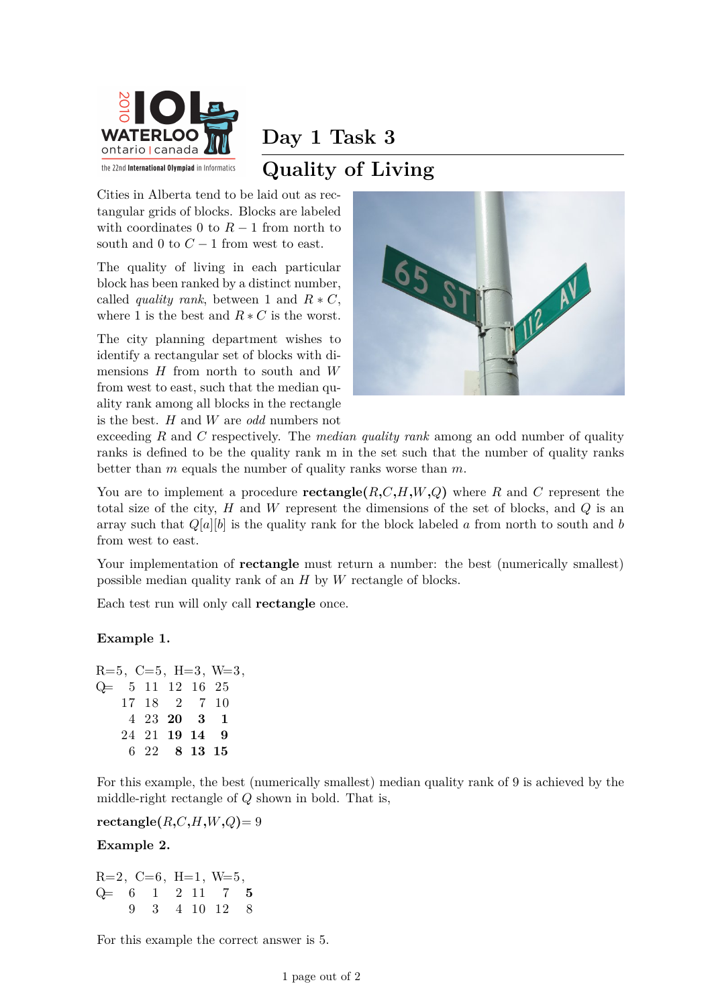

# **Day 1 Task 3 Quality of Living**

Cities in Alberta tend to be laid out as rectangular grids of blocks. Blocks are labeled with coordinates 0 to  $R-1$  from north to south and 0 to  $C-1$  from west to east.

The quality of living in each particular block has been ranked by a distinct number, called *quality rank*, between 1 and  $R * C$ , where 1 is the best and  $R * C$  is the worst.

The city planning department wishes to identify a rectangular set of blocks with dimensions *H* from north to south and *W* from west to east, such that the median quality rank among all blocks in the rectangle is the best. *H* and *W* are *odd* numbers not



exceeding *R* and *C* respectively. The *median quality rank* among an odd number of quality ranks is defined to be the quality rank m in the set such that the number of quality ranks better than *m* equals the number of quality ranks worse than *m*.

You are to implement a procedure **rectangle** $(R, C, H, W, Q)$  where R and C represent the total size of the city, *H* and *W* represent the dimensions of the set of blocks, and *Q* is an array such that  $Q[a][b]$  is the quality rank for the block labeled *a* from north to south and *b* from west to east.

Your implementation of **rectangle** must return a number: the best (numerically smallest) possible median quality rank of an *H* by *W* rectangle of blocks.

Each test run will only call **rectangle** once.

### **Example 1.**

 $R=5, C=5, H=3, W=3,$ Q= 5 11 12 16 25 17 18 2 7 10 4 23 **20 3 1** 24 21 **19 14 9** 6 22 **8 13 15**

For this example, the best (numerically smallest) median quality rank of 9 is achieved by the middle-right rectangle of *Q* shown in bold. That is,

 $\text{rectangle}(R, C, H, W, Q) = 9$ 

### **Example 2.**

 $R=2, C=6, H=1, W=5,$ Q= 6 1 2 11 7 **5** 9 3 4 10 12 8

For this example the correct answer is 5.